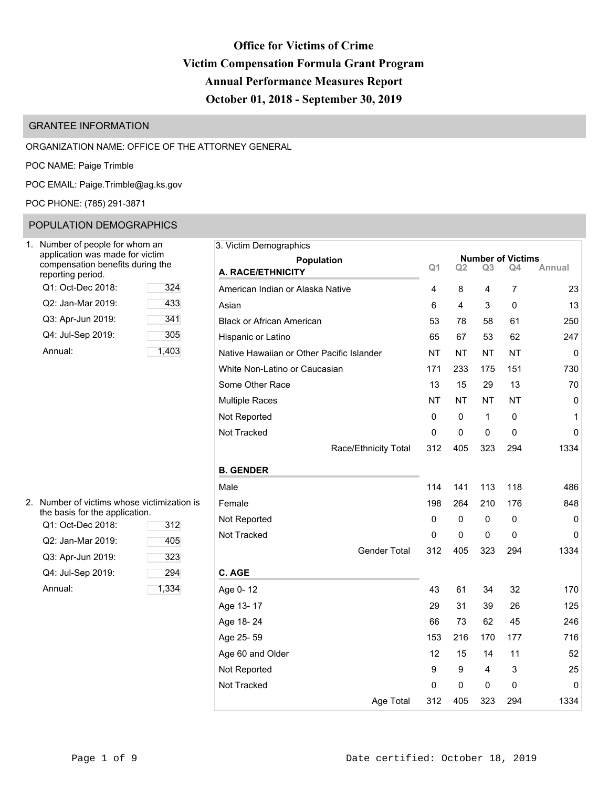# **Office for Victims of Crime Victim Compensation Formula Grant Program Annual Performance Measures Report October 01, 2018 - September 30, 2019**

# GRANTEE INFORMATION

# ORGANIZATION NAME: OFFICE OF THE ATTORNEY GENERAL

POC NAME: Paige Trimble

POC EMAIL: [Paige.Trimble@ag.ks.gov](mailto:Paige.Trimble@ag.ks.gov)

POC PHONE: (785) 291-3871

# POPULATION DEMOGRAPHICS

| Number of people for whom an<br>application was made for victim<br>compensation benefits during the<br>reporting period. |       |
|--------------------------------------------------------------------------------------------------------------------------|-------|
| Q1: Oct-Dec 2018:                                                                                                        | 324   |
| Q2: Jan-Mar 2019:                                                                                                        | 433   |
| Q3: Apr-Jun 2019:                                                                                                        | 341   |
| Q4: Jul-Sep 2019:                                                                                                        | 305   |
| Annual:                                                                                                                  | 1.403 |

| Number of people for whom an                                                            |       | 3. Victim Demographics                    |                |           |                |                                |             |
|-----------------------------------------------------------------------------------------|-------|-------------------------------------------|----------------|-----------|----------------|--------------------------------|-------------|
| application was made for victim<br>compensation benefits during the<br>eporting period. |       | Population<br>A. RACE/ETHNICITY           | Q <sub>1</sub> | Q2        | Q <sub>3</sub> | <b>Number of Victims</b><br>Q4 | Annual      |
| Q1: Oct-Dec 2018:                                                                       | 324   | American Indian or Alaska Native          | 4              | 8         | 4              | 7                              | 23          |
| Q2: Jan-Mar 2019:                                                                       | 433   | Asian                                     | 6              | 4         | 3              | 0                              | 13          |
| Q3: Apr-Jun 2019:                                                                       | 341   | <b>Black or African American</b>          | 53             | 78        | 58             | 61                             | 250         |
| Q4: Jul-Sep 2019:                                                                       | 305   | Hispanic or Latino                        | 65             | 67        | 53             | 62                             | 247         |
| Annual:                                                                                 | 1,403 | Native Hawaiian or Other Pacific Islander | <b>NT</b>      | <b>NT</b> | <b>NT</b>      | <b>NT</b>                      | $\mathbf 0$ |
|                                                                                         |       | White Non-Latino or Caucasian             | 171            | 233       | 175            | 151                            | 730         |
|                                                                                         |       | Some Other Race                           | 13             | 15        | 29             | 13                             | 70          |
|                                                                                         |       | <b>Multiple Races</b>                     | <b>NT</b>      | <b>NT</b> | <b>NT</b>      | <b>NT</b>                      | 0           |
|                                                                                         |       | Not Reported                              | 0              | 0         | 1              | 0                              | 1           |
|                                                                                         |       | Not Tracked                               | 0              | 0         | 0              | 0                              | $\mathbf 0$ |
|                                                                                         |       | Race/Ethnicity Total                      | 312            | 405       | 323            | 294                            | 1334        |
|                                                                                         |       | <b>B. GENDER</b>                          |                |           |                |                                |             |
|                                                                                         |       | Male                                      | 114            | 141       | 113            | 118                            | 486         |
| Number of victims whose victimization is                                                |       | Female                                    | 198            | 264       | 210            | 176                            | 848         |
| he basis for the application.<br>Q1: Oct-Dec 2018:                                      | 312   | Not Reported                              | 0              | 0         | 0              | 0                              | $\mathbf 0$ |
| Q2: Jan-Mar 2019:                                                                       | 405   | Not Tracked                               | 0              | 0         | 0              | 0                              | 0           |
| Q3: Apr-Jun 2019:                                                                       | 323   | Gender Total                              | 312            | 405       | 323            | 294                            | 1334        |
| Q4: Jul-Sep 2019:                                                                       | 294   | C. AGE                                    |                |           |                |                                |             |
| Annual:                                                                                 | 1,334 | Age 0-12                                  | 43             | 61        | 34             | 32                             | 170         |
|                                                                                         |       | Age 13-17                                 | 29             | 31        | 39             | 26                             | 125         |
|                                                                                         |       | Age 18-24                                 | 66             | 73        | 62             | 45                             | 246         |
|                                                                                         |       | Age 25-59                                 | 153            | 216       | 170            | 177                            | 716         |
|                                                                                         |       | Age 60 and Older                          | 12             | 15        | 14             | 11                             | 52          |
|                                                                                         |       | Not Reported                              | 9              | 9         | 4              | 3                              | 25          |
|                                                                                         |       | Not Tracked                               | 0              | 0         | 0              | 0                              | $\mathbf 0$ |
|                                                                                         |       | Age Total                                 | 312            | 405       | 323            | 294                            | 1334        |

| 2. Number of victims whose victimization is |
|---------------------------------------------|
| the basis for the application.              |

| Q1: Oct-Dec 2018: | 312   | 11011100 |
|-------------------|-------|----------|
| Q2: Jan-Mar 2019: | 405   | Not Trac |
| Q3: Apr-Jun 2019: | 323   |          |
| Q4: Jul-Sep 2019: | 294   | C. AGE   |
| Annual:           | 1,334 | Age 0-1  |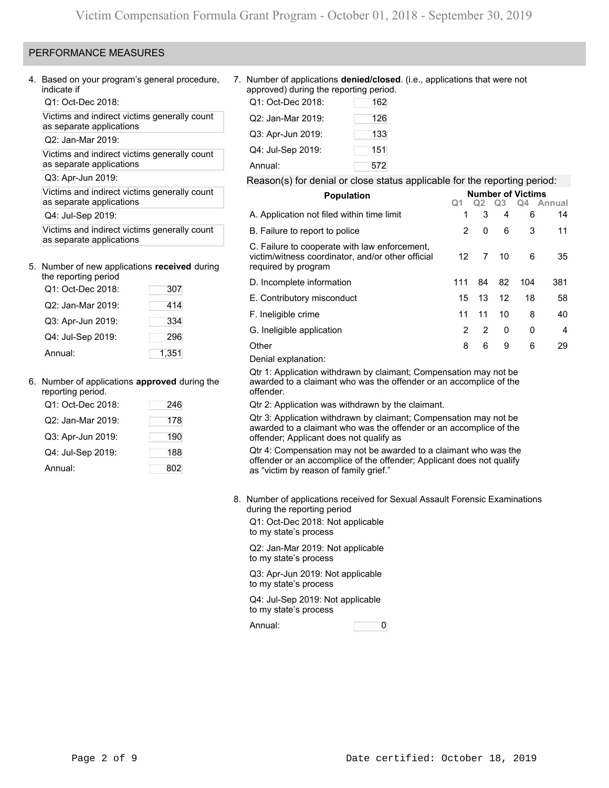# PERFORMANCE MEASURES

4. Based on your program's general procedure, indicate if

Q1: Oct-Dec 2018:

Victims and indirect victims generally count as separate applications

Q2: Jan-Mar 2019:

Victims and indirect victims generally count as separate applications

Q3: Apr-Jun 2019:

Victims and indirect victims generally count as separate applications

Q4: Jul-Sep 2019:

Victims and indirect victims generally count as separate applications

### 5. Number of new applications **received** during

| the reporting period |       |
|----------------------|-------|
| Q1: Oct-Dec 2018:    | 307   |
| Q2: Jan-Mar 2019:    | 414   |
| Q3: Apr-Jun 2019:    | 334   |
| Q4: Jul-Sep 2019:    | 296   |
| Annual:              | 1,351 |

### 6. Number of applications **approved** during the

| reporting period. |     |
|-------------------|-----|
| Q1: Oct-Dec 2018: | 246 |
| Q2: Jan-Mar 2019: | 178 |
| Q3: Apr-Jun 2019: | 190 |
| Q4: Jul-Sep 2019: | 188 |
| Annual:           | 802 |

7. Number of applications **denied/closed**. (i.e., applications that were not approved) during the reporting period.

| Q1: Oct-Dec 2018: | 162 |
|-------------------|-----|
| Q2: Jan-Mar 2019: | 126 |
| Q3: Apr-Jun 2019: | 133 |
| Q4: Jul-Sep 2019: | 151 |
| Annual:           | 572 |

### Reason(s) for denial or close status applicable for the reporting period:

| <b>Population</b>                                                                                                         |     |    |                | <b>Number of Victims</b> |           |
|---------------------------------------------------------------------------------------------------------------------------|-----|----|----------------|--------------------------|-----------|
|                                                                                                                           | Q1  | Q2 | Q <sub>3</sub> |                          | Q4 Annual |
| A. Application not filed within time limit                                                                                | 1   | 3  | 4              | 6                        | 14        |
| B. Failure to report to police                                                                                            | 2   | 0  | 6              | 3                        | 11        |
| C. Failure to cooperate with law enforcement,<br>victim/witness coordinator, and/or other official<br>required by program | 12  | 7  | 10             | 6                        | 35        |
| D. Incomplete information                                                                                                 | 111 | 84 | 82             | 104                      | 381       |
| E. Contributory misconduct                                                                                                | 15  | 13 | 12             | 18                       | 58        |
| F. Ineligible crime                                                                                                       | 11  | 11 | 10             | 8                        | 40        |
| G. Ineligible application                                                                                                 | 2   | 2  | $\mathbf 0$    | 0                        | 4         |
| Other                                                                                                                     | 8   | 6  | 9              | 6                        | 29        |
| Denial explanation:                                                                                                       |     |    |                |                          |           |

Qtr 1: Application withdrawn by claimant; Compensation may not be awarded to a claimant who was the offender or an accomplice of the offender.

Qtr 2: Application was withdrawn by the claimant.

Qtr 3: Application withdrawn by claimant; Compensation may not be awarded to a claimant who was the offender or an accomplice of the offender; Applicant does not qualify as

Qtr 4: Compensation may not be awarded to a claimant who was the offender or an accomplice of the offender; Applicant does not qualify as "victim by reason of family grief."

8. Number of applications received for Sexual Assault Forensic Examinations during the reporting period

Q1: Oct-Dec 2018: Not applicable to my state's process

Q2: Jan-Mar 2019: Not applicable to my state's process

Q3: Apr-Jun 2019: Not applicable to my state's process

Q4: Jul-Sep 2019: Not applicable to my state's process

Annual: 0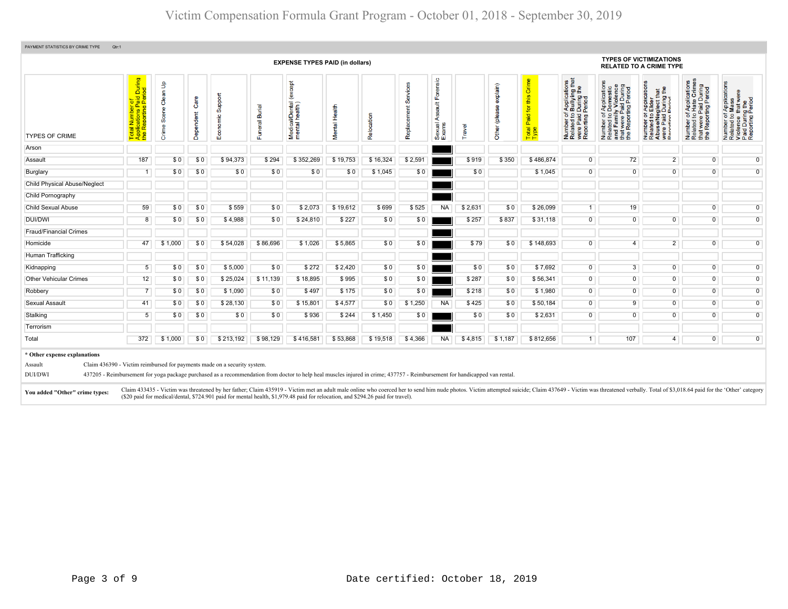# Victim Compensation Formula Grant Program - October 01, 2018 - September 30, 2019

|                                                                                      |                                                      |                              |                   |                                                                                                                                                                                                             |                    | <b>EXPENSE TYPES PAID (in dollars)</b>                                                                                                                                      |               |            |                         |                                            |         |                            |                                                                    |                                                                                                                                           |                                                                                                                                             | <b>TYPES OF VICTIMIZATIONS</b><br><b>RELATED TO A CRIME TYPE</b>                                                           |                                                                                                                                          |                                                                                                                                                                                                                                 |
|--------------------------------------------------------------------------------------|------------------------------------------------------|------------------------------|-------------------|-------------------------------------------------------------------------------------------------------------------------------------------------------------------------------------------------------------|--------------------|-----------------------------------------------------------------------------------------------------------------------------------------------------------------------------|---------------|------------|-------------------------|--------------------------------------------|---------|----------------------------|--------------------------------------------------------------------|-------------------------------------------------------------------------------------------------------------------------------------------|---------------------------------------------------------------------------------------------------------------------------------------------|----------------------------------------------------------------------------------------------------------------------------|------------------------------------------------------------------------------------------------------------------------------------------|---------------------------------------------------------------------------------------------------------------------------------------------------------------------------------------------------------------------------------|
| <b>TYPES OF CRIME</b>                                                                | er of<br>: Paid During<br>!g Period<br>$\frac{1}{2}$ | an Up<br>Ö<br>Scene<br>Crime | Care<br>Dependent | Support<br>conomic<br>ш                                                                                                                                                                                     | uneral Burial<br>Œ | except)<br>Medical/Dental (<br>mental health)                                                                                                                               | Mental Health | Relocation | Services<br>Replacement | oisue<br>u<br>ties<br>⋖<br>Sexual<br>Exams | Travel  | explain)<br>eeld)<br>Other | Crime<br>this<br>$\overline{\mathsf{p}}$<br>Paid:<br>Total<br>Type | f Applications<br>b Bullying that<br>Period<br>Period<br>ber of<br>ted to<br>Paid I<br>paid I<br>Number<br>Related<br>were Pa<br>Reportin | Applications<br>Domestic<br>pol.<br>ting Peri<br>52<br>were<br>Repor<br>Number<br>Related i<br>e <sub>Le</sub><br>Rela<br>and<br>$\epsilon$ | glect that<br>During the<br>Pariod<br>Appli<br>Elde<br>59<br>e/Neg<br>Number<br>Related<br>Abuse/N<br>were Pai<br>Reportin | f Applications<br>Hate Crimes<br>Paid During<br>were Paid During<br>Reporting Period<br>59<br>Number<br>Related<br>that were<br>the Repo | pplications<br>lass<br>nat were<br>ig the<br>Period<br>59<br>Number of,<br>Related to I<br>Violence t<br>Paid During<br>Reporting I                                                                                             |
| Arson                                                                                |                                                      |                              |                   |                                                                                                                                                                                                             |                    |                                                                                                                                                                             |               |            |                         |                                            |         |                            |                                                                    |                                                                                                                                           |                                                                                                                                             |                                                                                                                            |                                                                                                                                          |                                                                                                                                                                                                                                 |
| Assault                                                                              | 187                                                  | \$0                          | \$0               | \$94,373                                                                                                                                                                                                    | \$294              | \$352,269                                                                                                                                                                   | \$19,753      | \$16,324   | \$2,591                 |                                            | \$919   | \$350                      | \$486,874                                                          | $\overline{0}$                                                                                                                            | 72                                                                                                                                          | 2 <sup>1</sup>                                                                                                             | $\overline{0}$                                                                                                                           | $\overline{0}$                                                                                                                                                                                                                  |
| Burglary                                                                             | $\overline{1}$                                       | \$0                          | \$0               | \$0                                                                                                                                                                                                         | \$0                | \$0                                                                                                                                                                         | \$0           | \$1,045    | \$0                     |                                            | \$0     |                            | \$1,045                                                            | $\overline{0}$                                                                                                                            | $\overline{0}$                                                                                                                              | $\overline{0}$                                                                                                             | $\overline{0}$                                                                                                                           | $\mathbf 0$                                                                                                                                                                                                                     |
| <b>Child Physical Abuse/Neglect</b>                                                  |                                                      |                              |                   |                                                                                                                                                                                                             |                    |                                                                                                                                                                             |               |            |                         |                                            |         |                            |                                                                    |                                                                                                                                           |                                                                                                                                             |                                                                                                                            |                                                                                                                                          |                                                                                                                                                                                                                                 |
| Child Pornography                                                                    |                                                      |                              |                   |                                                                                                                                                                                                             |                    |                                                                                                                                                                             |               |            |                         |                                            |         |                            |                                                                    |                                                                                                                                           |                                                                                                                                             |                                                                                                                            |                                                                                                                                          |                                                                                                                                                                                                                                 |
| Child Sexual Abuse                                                                   | 59                                                   | \$0                          | \$0               | \$559                                                                                                                                                                                                       | \$0                | \$2,073                                                                                                                                                                     | \$19,612      | \$699      | \$525                   | <b>NA</b>                                  | \$2,631 | \$0                        | \$26,099                                                           | 1                                                                                                                                         | 19                                                                                                                                          |                                                                                                                            | $\overline{0}$                                                                                                                           | $\overline{0}$                                                                                                                                                                                                                  |
| DUI/DWI                                                                              | 8                                                    | \$0                          | \$0               | \$4,988                                                                                                                                                                                                     | \$0                | \$24,810                                                                                                                                                                    | \$227         | \$0        | \$0                     |                                            | \$257   | \$837                      | \$31,118                                                           | $\overline{0}$                                                                                                                            | $\overline{0}$                                                                                                                              | $\overline{0}$                                                                                                             | $\overline{0}$                                                                                                                           | $\overline{0}$                                                                                                                                                                                                                  |
| <b>Fraud/Financial Crimes</b>                                                        |                                                      |                              |                   |                                                                                                                                                                                                             |                    |                                                                                                                                                                             |               |            |                         |                                            |         |                            |                                                                    |                                                                                                                                           |                                                                                                                                             |                                                                                                                            |                                                                                                                                          |                                                                                                                                                                                                                                 |
| Homicide                                                                             | 47                                                   | \$1,000                      | \$0               | \$54,028                                                                                                                                                                                                    | \$86,696           | \$1,026                                                                                                                                                                     | \$5,865       | \$0        | \$0                     |                                            | \$79    | \$0                        | \$148,693                                                          | $\overline{0}$                                                                                                                            | $\overline{4}$                                                                                                                              | $\overline{2}$                                                                                                             | $\overline{0}$                                                                                                                           | $\overline{0}$                                                                                                                                                                                                                  |
| Human Trafficking                                                                    |                                                      |                              |                   |                                                                                                                                                                                                             |                    |                                                                                                                                                                             |               |            |                         |                                            |         |                            |                                                                    |                                                                                                                                           |                                                                                                                                             |                                                                                                                            |                                                                                                                                          |                                                                                                                                                                                                                                 |
| Kidnapping                                                                           | 5                                                    | \$0                          | \$0               | \$5,000                                                                                                                                                                                                     | \$0                | \$272                                                                                                                                                                       | \$2,420       | \$0        | \$0                     |                                            | \$0     | \$0                        | \$7,692                                                            | $\overline{0}$                                                                                                                            | 3                                                                                                                                           | $\overline{0}$                                                                                                             | $\overline{0}$                                                                                                                           | $\overline{0}$                                                                                                                                                                                                                  |
| <b>Other Vehicular Crimes</b>                                                        | 12                                                   | \$0                          | \$0               | \$25,024                                                                                                                                                                                                    | \$11,139           | \$18,895                                                                                                                                                                    | \$995         | \$0        | \$0                     |                                            | \$287   | \$0                        | \$56,341                                                           | $\overline{0}$                                                                                                                            | $\overline{0}$                                                                                                                              | $\overline{0}$                                                                                                             | $\overline{0}$                                                                                                                           | $\mathbf 0$                                                                                                                                                                                                                     |
| Robbery                                                                              | $\overline{7}$                                       | \$0                          | \$0               | \$1,090                                                                                                                                                                                                     | \$0                | \$497                                                                                                                                                                       | \$175         | \$0        | \$0                     |                                            | \$218   | \$0                        | \$1,980                                                            | $\overline{0}$                                                                                                                            | $\overline{0}$                                                                                                                              | $\overline{0}$                                                                                                             | $\overline{0}$                                                                                                                           | $\overline{0}$                                                                                                                                                                                                                  |
| Sexual Assault                                                                       | 41                                                   | \$0                          | \$0               | \$28,130                                                                                                                                                                                                    | \$0                | \$15,801                                                                                                                                                                    | \$4,577       | \$0        | \$1,250                 | <b>NA</b>                                  | \$425   | \$0                        | \$50,184                                                           | $\overline{0}$                                                                                                                            | 9                                                                                                                                           | $\overline{0}$                                                                                                             | $\overline{0}$                                                                                                                           | $\overline{0}$                                                                                                                                                                                                                  |
| Stalking                                                                             | 5                                                    | \$0                          | \$0               | \$0                                                                                                                                                                                                         | \$0                | \$936                                                                                                                                                                       | \$244         | \$1,450    | \$0                     |                                            | \$0     | \$0                        | \$2,631                                                            | $\overline{0}$                                                                                                                            | $\overline{0}$                                                                                                                              | $\mathbf 0$                                                                                                                | $\overline{0}$                                                                                                                           | $\overline{0}$                                                                                                                                                                                                                  |
| Terrorism                                                                            |                                                      |                              |                   |                                                                                                                                                                                                             |                    |                                                                                                                                                                             |               |            |                         |                                            |         |                            |                                                                    |                                                                                                                                           |                                                                                                                                             |                                                                                                                            |                                                                                                                                          |                                                                                                                                                                                                                                 |
| Total                                                                                | 372                                                  | \$1,000                      | \$0               | \$213,192                                                                                                                                                                                                   | \$98,129           | \$416,581                                                                                                                                                                   | \$53,868      | \$19,518   | \$4,366                 | <b>NA</b>                                  | \$4,815 | \$1,187                    | \$812,656                                                          | 1                                                                                                                                         | 107                                                                                                                                         | 4                                                                                                                          | $\overline{0}$                                                                                                                           | $\mathbf 0$                                                                                                                                                                                                                     |
| * Other expense explanations<br>Assault<br>DUI/DWI<br>You added "Other" crime types: |                                                      |                              |                   | Claim 436390 - Victim reimbursed for payments made on a security system.<br>(\$20 paid for medical/dental, \$724.901 paid for mental health, \$1,979.48 paid for relocation, and \$294.26 paid for travel). |                    | 437205 - Reimbursement for yoga package purchased as a recommendation from doctor to help heal muscles injured in crime; 437757 - Reimbursement for handicapped van rental. |               |            |                         |                                            |         |                            |                                                                    |                                                                                                                                           |                                                                                                                                             |                                                                                                                            |                                                                                                                                          | Claim 433435 - Victim was threatened by her father; Claim 435919 - Victim met an adult male online who coerced her to send him nude photos. Victim attempted suicide; Claim 43549 - Victim was threatened verbally. Total of \$ |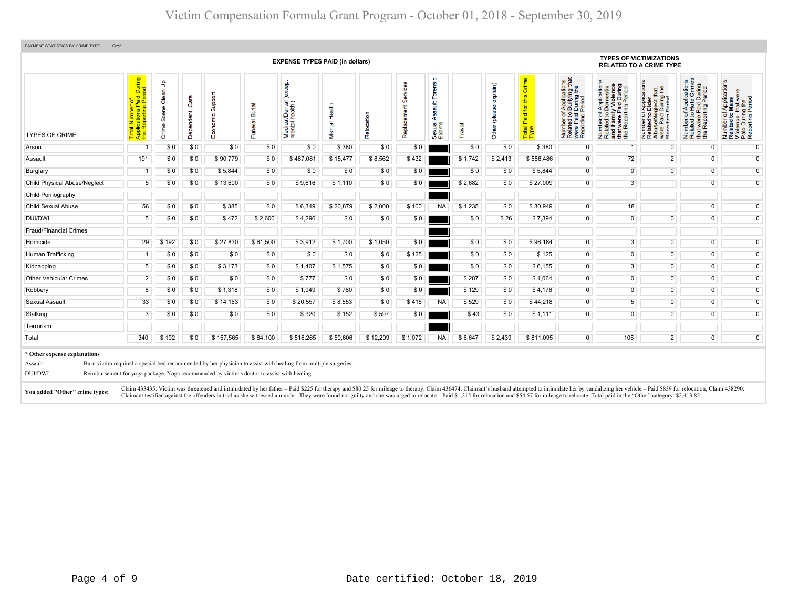|                                                                                      |                                                                 |                            |                   |                                                                                             |                | <b>EXPENSE TYPES PAID (in dollars)</b>                                                                          |               |            |                         |                                                     |         |                                  |                                                                  |                                                                                                             |                                                                                                                                                                                                                                   | <b>TYPES OF VICTIMIZATIONS</b><br><b>RELATED TO A CRIME TYPE</b>                                                                          |                                                                                                      |                                                                                                                   |
|--------------------------------------------------------------------------------------|-----------------------------------------------------------------|----------------------------|-------------------|---------------------------------------------------------------------------------------------|----------------|-----------------------------------------------------------------------------------------------------------------|---------------|------------|-------------------------|-----------------------------------------------------|---------|----------------------------------|------------------------------------------------------------------|-------------------------------------------------------------------------------------------------------------|-----------------------------------------------------------------------------------------------------------------------------------------------------------------------------------------------------------------------------------|-------------------------------------------------------------------------------------------------------------------------------------------|------------------------------------------------------------------------------------------------------|-------------------------------------------------------------------------------------------------------------------|
| <b>TYPES OF CRIME</b>                                                                | During<br>iod<br>$\pi$ $\Omega$<br>ting<br>Repor<br><u> 이 음</u> | Clean Up<br>Scene<br>Crime | Care<br>Dependent | Support<br>$\frac{10}{10}$<br>is<br>⊞                                                       | Funeral Burial | except<br>i/Dental<br>health)<br>Medical<br>mental                                                              | Mental Health | Relocation | Services<br>Replacement | $\circ$<br>ensi<br>$\frac{4}{5}$<br>Sexual<br>Exams | Travel  | exp(ain)<br>plea<br><b>Other</b> | Crime<br>$\boldsymbol{\omega}$<br>国<br>Paid for<br>Total<br>Type | f Applications<br>b Bullying that<br>Period<br>Period<br>ㅎ 의<br>re Paid<br>porting<br>mber<br>lated<br>2000 | Applications<br>Domestic<br>Paid During<br>ting Period<br>ឹ<br>5 g<br>were<br>Repor<br>Number<br>Related<br>and Fan<br>and<br>the l                                                                                               | cations<br>g £<br>÷<br>glect th<br>During<br>Period<br>Appli<br>Elde<br>52<br>$\frac{1}{10}$<br>통은<br>로 있습<br>$\frac{1}{2}$ $\frac{1}{2}$ | Applications<br>Hate Crimes<br>Paid During<br>rting Period<br>52<br>Repor<br>Number<br>Related<br>Ē£ | f Applications<br>Mass<br>were<br>Number of Ap<br>Related to Ma<br>Violence that<br>Paid During t<br>Reporting Pe |
| Arson                                                                                | $\overline{1}$                                                  | \$0                        | \$0               | \$0                                                                                         | \$0            | \$0                                                                                                             | \$380         | \$0        | \$0                     |                                                     | \$0     | \$0                              | \$380                                                            | 0                                                                                                           | 1                                                                                                                                                                                                                                 | $\mathbf{0}$                                                                                                                              | $\overline{0}$                                                                                       | $\overline{0}$                                                                                                    |
| Assault                                                                              | 191                                                             | \$0                        | \$0               | \$90,779                                                                                    | \$0            | \$467,081                                                                                                       | \$15,477      | \$8,562    | \$432                   |                                                     | \$1,742 | \$2,413                          | \$586,486                                                        | $\overline{0}$                                                                                              | 72                                                                                                                                                                                                                                | $\overline{2}$                                                                                                                            | $\overline{0}$                                                                                       | $\overline{0}$                                                                                                    |
| Burglary                                                                             | $\overline{1}$                                                  | \$0                        | \$0               | \$5,844                                                                                     | \$0            | \$0                                                                                                             | \$0           | \$0        | \$0                     |                                                     | \$0     | \$0                              | \$5,844                                                          | $\overline{0}$                                                                                              | $\overline{0}$                                                                                                                                                                                                                    | $\overline{0}$                                                                                                                            | $\overline{0}$                                                                                       | $\overline{0}$                                                                                                    |
| <b>Child Physical Abuse/Neglect</b>                                                  | $5\overline{)}$                                                 | \$0                        | \$0               | \$13,600                                                                                    | \$0            | \$9,616                                                                                                         | \$1,110       | \$0        | \$0                     |                                                     | \$2,682 | \$0                              | \$27,009                                                         | $\overline{0}$                                                                                              | 3                                                                                                                                                                                                                                 |                                                                                                                                           | $\overline{0}$                                                                                       | $\overline{0}$                                                                                                    |
| Child Pornography                                                                    |                                                                 |                            |                   |                                                                                             |                |                                                                                                                 |               |            |                         |                                                     |         |                                  |                                                                  |                                                                                                             |                                                                                                                                                                                                                                   |                                                                                                                                           |                                                                                                      |                                                                                                                   |
| Child Sexual Abuse                                                                   | 56                                                              | \$0                        | \$0               | \$385                                                                                       | \$0            | \$6,349                                                                                                         | \$20,879      | \$2,000    | \$100                   | <b>NA</b>                                           | \$1,235 | \$0                              | \$30,949                                                         | $\overline{0}$                                                                                              | 18                                                                                                                                                                                                                                |                                                                                                                                           | $\overline{0}$                                                                                       | $\overline{0}$                                                                                                    |
| <b>DUI/DWI</b>                                                                       | 5                                                               | \$0                        | \$0               | \$472                                                                                       | \$2,600        | \$4,296                                                                                                         | \$0           | \$0        | \$0                     |                                                     | \$0     | \$26                             | \$7,394                                                          | $\overline{0}$                                                                                              | $\overline{0}$                                                                                                                                                                                                                    | $\overline{0}$                                                                                                                            | $\overline{0}$                                                                                       | $\overline{0}$                                                                                                    |
| <b>Fraud/Financial Crimes</b>                                                        |                                                                 |                            |                   |                                                                                             |                |                                                                                                                 |               |            |                         |                                                     |         |                                  |                                                                  |                                                                                                             |                                                                                                                                                                                                                                   |                                                                                                                                           |                                                                                                      |                                                                                                                   |
| Homicide                                                                             | 29                                                              | \$192                      | \$0               | \$27,830                                                                                    | \$61,500       | \$3,912                                                                                                         | \$1,700       | \$1,050    | \$0                     |                                                     | \$0     | \$0                              | \$96,184                                                         | $\overline{0}$                                                                                              | $\overline{3}$                                                                                                                                                                                                                    | $\overline{0}$                                                                                                                            | $\overline{0}$                                                                                       | $\overline{0}$                                                                                                    |
| Human Trafficking                                                                    | $\overline{1}$                                                  | \$0                        | \$0               | \$0                                                                                         | \$0            | \$0                                                                                                             | \$0           | \$0        | \$125                   |                                                     | \$0     | \$0                              | \$125                                                            | $\overline{0}$                                                                                              | $\overline{0}$                                                                                                                                                                                                                    | $\overline{0}$                                                                                                                            | $\overline{0}$                                                                                       | $\overline{0}$                                                                                                    |
| Kidnapping                                                                           | $5\overline{)}$                                                 | \$0                        | \$0               | \$3,173                                                                                     | \$0            | \$1,407                                                                                                         | \$1,575       | \$0        | \$0                     |                                                     | \$0     | \$0                              | \$6,155                                                          | $\overline{0}$                                                                                              | $\overline{3}$                                                                                                                                                                                                                    | $\overline{0}$                                                                                                                            | $\overline{0}$                                                                                       | $\overline{0}$                                                                                                    |
| <b>Other Vehicular Crimes</b>                                                        | $\overline{2}$                                                  | \$0                        | \$0               | \$0                                                                                         | \$0            | \$777                                                                                                           | \$0           | \$0        | \$0                     |                                                     | \$287   | \$0                              | \$1,064                                                          | $\overline{0}$                                                                                              | $\overline{0}$                                                                                                                                                                                                                    | $\overline{0}$                                                                                                                            | $\overline{0}$                                                                                       | $\overline{0}$                                                                                                    |
| Robbery                                                                              | 8                                                               | \$0                        | \$0               | \$1,318                                                                                     | \$0            | \$1,949                                                                                                         | \$780         | \$0        | \$0                     |                                                     | \$129   | \$0                              | \$4,176                                                          | $\overline{0}$                                                                                              | $\overline{0}$                                                                                                                                                                                                                    | $\overline{0}$                                                                                                                            | $\overline{0}$                                                                                       | $\overline{0}$                                                                                                    |
| Sexual Assault                                                                       | 33                                                              | \$0                        | \$0               | \$14,163                                                                                    | \$0            | \$20,557                                                                                                        | \$8,553       | \$0        | \$415                   | <b>NA</b>                                           | \$529   | \$0                              | \$44,218                                                         | $\overline{0}$                                                                                              | 5 <sup>1</sup>                                                                                                                                                                                                                    | $\overline{0}$                                                                                                                            | $\overline{0}$                                                                                       | $\overline{0}$                                                                                                    |
| Stalking                                                                             | 3                                                               | \$0                        | \$0               | \$0                                                                                         | \$0            | \$320                                                                                                           | \$152         | \$597      | \$0                     |                                                     | \$43    | \$0                              | \$1,111                                                          | $\overline{0}$                                                                                              | $\overline{0}$                                                                                                                                                                                                                    | $\overline{0}$                                                                                                                            | $\overline{0}$                                                                                       | $\overline{0}$                                                                                                    |
| Terrorism                                                                            |                                                                 |                            |                   |                                                                                             |                |                                                                                                                 |               |            |                         |                                                     |         |                                  |                                                                  |                                                                                                             |                                                                                                                                                                                                                                   |                                                                                                                                           |                                                                                                      |                                                                                                                   |
| Total                                                                                | 340                                                             | \$192                      | \$0               | \$157,565                                                                                   | \$64,100       | \$516,265                                                                                                       | \$50,606      | \$12,209   | \$1,072                 | <b>NA</b>                                           | \$6,647 | \$2,439                          | \$811,095                                                        | $\overline{0}$                                                                                              | 105                                                                                                                                                                                                                               | $\overline{2}$                                                                                                                            | $\overline{0}$                                                                                       | $\overline{0}$                                                                                                    |
| * Other expense explanations<br>Assault<br>DUI/DWI<br>You added "Other" crime types: |                                                                 |                            |                   | Reimbursement for yoga package. Yoga recommended by victim's doctor to assist with healing. |                | Burn victim required a special bed recommended by her physician to assist with healing from multiple surgeries. |               |            |                         |                                                     |         |                                  |                                                                  |                                                                                                             | Claim 433435: Victim was threatened and intimidated by her father - Paid \$225 for therapy and \$80.25 for mileage to therapy; Claim 436474: Claimant's husband attempted to intimidate her by vandalizing her vehicle - Paid \$8 |                                                                                                                                           |                                                                                                      |                                                                                                                   |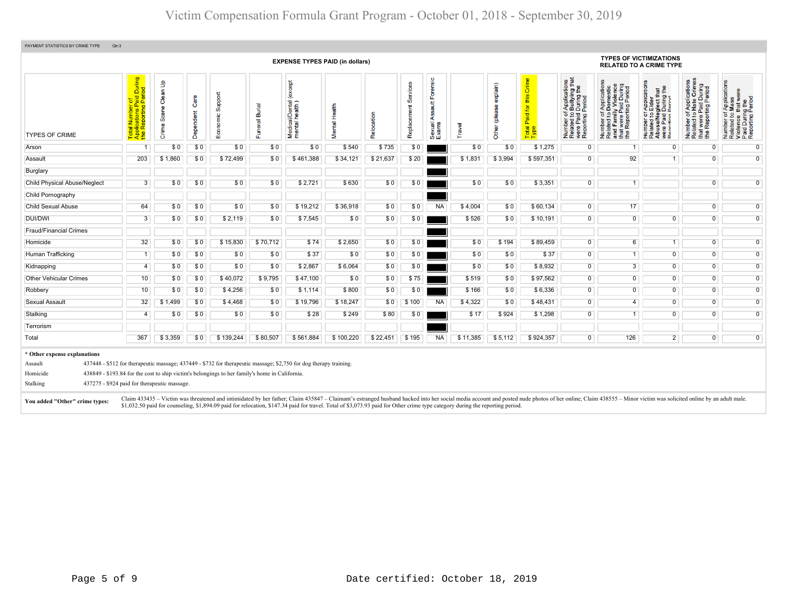| PAYMENT STATISTICS BY CRIME TYPE<br>Qtr:3                                                                                                         |                                                                                                |                      |                   |                                                                                                |                |                                                                                                                                                                               |                   |            |                         |                                          |          |                           |                                            |                                                                                                                      |                                                                                                                                                                                                                                |                                                                                                                                                                  |                                                                                                   |                                                                                                                            |
|---------------------------------------------------------------------------------------------------------------------------------------------------|------------------------------------------------------------------------------------------------|----------------------|-------------------|------------------------------------------------------------------------------------------------|----------------|-------------------------------------------------------------------------------------------------------------------------------------------------------------------------------|-------------------|------------|-------------------------|------------------------------------------|----------|---------------------------|--------------------------------------------|----------------------------------------------------------------------------------------------------------------------|--------------------------------------------------------------------------------------------------------------------------------------------------------------------------------------------------------------------------------|------------------------------------------------------------------------------------------------------------------------------------------------------------------|---------------------------------------------------------------------------------------------------|----------------------------------------------------------------------------------------------------------------------------|
|                                                                                                                                                   |                                                                                                |                      |                   |                                                                                                |                | <b>EXPENSE TYPES PAID (in dollars)</b>                                                                                                                                        |                   |            |                         |                                          |          |                           |                                            |                                                                                                                      | <b>RELATED TO A CRIME TYPE</b>                                                                                                                                                                                                 | <b>TYPES OF VICTIMIZATIONS</b>                                                                                                                                   |                                                                                                   |                                                                                                                            |
| <b>TYPES OF CRIME</b>                                                                                                                             | During<br>iod<br>$\frac{1}{2}$ $\frac{1}{2}$<br>ting<br>Report<br>e <sub>1</sub><br><u>ಕ ಕ</u> | Crime Scene Clean Up | Care<br>Dependent | Economic Support                                                                               | Funeral Burial | <b>bept</b><br>(ex<br>Medical/Dental                                                                                                                                          | Health<br>Viental | Relocation | Services<br>Replacement | Forensic<br>Assault I<br>Sexual<br>Exams | Travel   | explain)<br>Other (please | Crime<br>this<br>Paid for<br>Total<br>Type | of Applications<br>b Bullying that<br>I Period<br>I Period<br>Number of,<br>Related to I<br>were Paid<br>Reporting F | ৯<br>During<br>Period<br>Application<br>ã.<br>ting<br>vere P<br>Number of <i>A</i><br>Related to <b>D</b><br>and Family<br>Le                                                                                                  | cation<br>$\frac{1}{2}$<br>÷<br>glect th<br>During<br>Period<br>ō<br>운품<br>59<br>$\frac{1}{2}$ $\frac{1}{8}$ $\frac{1}{5}$<br>Number<br>Related<br>ō<br>$R = 50$ | ons<br>mes<br>During<br>Period<br>震语<br>۵ĭ<br>ting<br>5Q<br>Number<br>Related<br>: wer<br>te<br>E | f Applications<br>Mass<br>were<br>g the<br>Period<br>5 S<br>Number of<br>Related to<br>Violence<br>Paid Durin<br>Reporting |
| Arson                                                                                                                                             |                                                                                                | \$0                  | \$0               | \$0                                                                                            | \$0            | \$0                                                                                                                                                                           | \$540             | \$735      | \$0                     |                                          | \$0      | \$0                       | \$1,275                                    | $\mathbf{0}$                                                                                                         | 1                                                                                                                                                                                                                              | $\overline{0}$                                                                                                                                                   | $\overline{0}$                                                                                    | $\overline{0}$                                                                                                             |
| Assault                                                                                                                                           | 203                                                                                            | \$1,860              | \$0               | \$72,499                                                                                       | \$0            | \$461,388                                                                                                                                                                     | \$34,121          | \$21,637   | \$20                    |                                          | \$1,831  | \$3,994                   | \$597,351                                  | $\overline{0}$                                                                                                       | 92                                                                                                                                                                                                                             | $\overline{1}$                                                                                                                                                   | $\overline{0}$                                                                                    | $\overline{0}$                                                                                                             |
| Burglary                                                                                                                                          |                                                                                                |                      |                   |                                                                                                |                |                                                                                                                                                                               |                   |            |                         |                                          |          |                           |                                            |                                                                                                                      |                                                                                                                                                                                                                                |                                                                                                                                                                  |                                                                                                   |                                                                                                                            |
| <b>Child Physical Abuse/Neglect</b>                                                                                                               | 3                                                                                              | \$0                  | \$0               | \$0                                                                                            | \$0            | \$2,721                                                                                                                                                                       | \$630             | \$0        | \$0                     |                                          | \$0      | \$0                       | \$3,351                                    | $\overline{0}$                                                                                                       | $\overline{1}$                                                                                                                                                                                                                 |                                                                                                                                                                  | $\overline{0}$                                                                                    | $\overline{0}$                                                                                                             |
| Child Pornography                                                                                                                                 |                                                                                                |                      |                   |                                                                                                |                |                                                                                                                                                                               |                   |            |                         |                                          |          |                           |                                            |                                                                                                                      |                                                                                                                                                                                                                                |                                                                                                                                                                  |                                                                                                   |                                                                                                                            |
| <b>Child Sexual Abuse</b>                                                                                                                         | 64                                                                                             | \$0                  | \$0               | \$0                                                                                            | \$0            | \$19,212                                                                                                                                                                      | \$36,918          | \$0        | \$0                     | <b>NA</b>                                | \$4,004  | \$0                       | \$60,134                                   | $\overline{0}$                                                                                                       | 17                                                                                                                                                                                                                             |                                                                                                                                                                  | $\overline{0}$                                                                                    | $\overline{0}$                                                                                                             |
| DUI/DWI                                                                                                                                           | $\overline{3}$                                                                                 | \$0                  | \$0               | \$2,119                                                                                        | \$0            | \$7,545                                                                                                                                                                       | \$0               | \$0        | \$0                     |                                          | \$526    | \$0                       | \$10,191                                   | $\overline{0}$                                                                                                       | $\overline{0}$                                                                                                                                                                                                                 | $\overline{0}$                                                                                                                                                   | $\overline{0}$                                                                                    | $\overline{0}$                                                                                                             |
| <b>Fraud/Financial Crimes</b>                                                                                                                     |                                                                                                |                      |                   |                                                                                                |                |                                                                                                                                                                               |                   |            |                         |                                          |          |                           |                                            |                                                                                                                      |                                                                                                                                                                                                                                |                                                                                                                                                                  |                                                                                                   |                                                                                                                            |
| Homicide                                                                                                                                          | 32                                                                                             | \$0                  | \$0               | \$15,830                                                                                       | \$70,712       | \$74                                                                                                                                                                          | \$2,650           | \$0        | \$0                     |                                          | \$0      | \$194                     | \$89,459                                   | $\overline{0}$                                                                                                       | 6                                                                                                                                                                                                                              | $\overline{1}$                                                                                                                                                   | $\overline{0}$                                                                                    | $\overline{0}$                                                                                                             |
| Human Trafficking                                                                                                                                 | $\overline{1}$                                                                                 | \$0                  | \$0               | \$0                                                                                            | \$0            | \$37                                                                                                                                                                          | \$0               | \$0        | \$0                     |                                          | \$0      | \$0                       | \$37                                       | $\overline{0}$                                                                                                       | $\overline{1}$                                                                                                                                                                                                                 | $\overline{0}$                                                                                                                                                   | $\overline{0}$                                                                                    | $\overline{0}$                                                                                                             |
| Kidnapping                                                                                                                                        | $\overline{4}$                                                                                 | \$0                  | \$0               | \$0                                                                                            | \$0            | \$2,867                                                                                                                                                                       | \$6,064           | \$0        | \$0                     |                                          | \$0      | \$0                       | \$8,932                                    | $\overline{0}$                                                                                                       | 3                                                                                                                                                                                                                              | $\overline{0}$                                                                                                                                                   | $\overline{0}$                                                                                    | $\overline{0}$                                                                                                             |
| <b>Other Vehicular Crimes</b>                                                                                                                     | 10                                                                                             | \$0                  | \$0               | \$40,072                                                                                       | \$9,795        | \$47,100                                                                                                                                                                      | \$0               | \$0        | \$75                    |                                          | \$519    | \$0                       | \$97,562                                   | $\overline{0}$                                                                                                       | $\overline{0}$                                                                                                                                                                                                                 | $\overline{0}$                                                                                                                                                   | $\overline{0}$                                                                                    | $\overline{0}$                                                                                                             |
| Robbery                                                                                                                                           | 10                                                                                             | \$0                  | \$0               | \$4.256                                                                                        | \$0            | \$1,114                                                                                                                                                                       | \$800             | \$0        | \$0                     |                                          | \$166    | \$0                       | \$6,336                                    | $\overline{0}$                                                                                                       | $\overline{0}$                                                                                                                                                                                                                 | $\overline{0}$                                                                                                                                                   | $\overline{0}$                                                                                    | $\overline{0}$                                                                                                             |
| Sexual Assault                                                                                                                                    | 32                                                                                             | \$1,499              | \$0               | \$4,468                                                                                        | \$0            | \$19,796                                                                                                                                                                      | \$18,247          | \$0        | \$100                   | <b>NA</b>                                | \$4,322  | \$0                       | \$48,431                                   | $\overline{0}$                                                                                                       | $\overline{4}$                                                                                                                                                                                                                 | $\overline{0}$                                                                                                                                                   | $\overline{0}$                                                                                    | $\overline{0}$                                                                                                             |
| Stalking                                                                                                                                          | $\overline{4}$                                                                                 | \$0                  | \$0               | \$0                                                                                            | \$0            | \$28                                                                                                                                                                          | \$249             | \$80       | \$0                     |                                          | \$17     | \$924                     | \$1,298                                    | $\overline{0}$                                                                                                       | $\overline{1}$                                                                                                                                                                                                                 | $\overline{0}$                                                                                                                                                   | $\overline{0}$                                                                                    | $\overline{0}$                                                                                                             |
| Terrorism                                                                                                                                         |                                                                                                |                      |                   |                                                                                                |                |                                                                                                                                                                               |                   |            |                         |                                          |          |                           |                                            |                                                                                                                      |                                                                                                                                                                                                                                |                                                                                                                                                                  |                                                                                                   |                                                                                                                            |
| Total                                                                                                                                             | 367                                                                                            | \$3,359              | \$0               | \$139,244                                                                                      | \$80,507       | \$561.884                                                                                                                                                                     | \$100,220         | \$22,451   | \$195                   | <b>NA</b>                                | \$11,385 | \$5,112                   | \$924,357                                  | $\overline{0}$                                                                                                       | 126                                                                                                                                                                                                                            | $\overline{2}$                                                                                                                                                   | $\overline{0}$                                                                                    | $\overline{0}$                                                                                                             |
| * Other expense explanations<br>Assault<br>Homicide<br>437275 - \$924 paid for therapeutic massage.<br>Stalking<br>You added "Other" crime types: |                                                                                                |                      |                   | 438849 - \$193.84 for the cost to ship victim's belongings to her family's home in California. |                | 437448 - \$512 for therapeutic massage; 437449 - \$732 for therapeutic massage; \$2,750 for dog therapy training.                                                             |                   |            |                         |                                          |          |                           |                                            |                                                                                                                      | Claim 433435 - Victim was threatened and intimidated by her father; Claim 435847 - Claimant's estranged husband hacked into her social media account and posted nude photos of her online; Claim 438555 - Minor victim was sol |                                                                                                                                                                  |                                                                                                   |                                                                                                                            |
|                                                                                                                                                   |                                                                                                |                      |                   |                                                                                                |                | \$1,032.50 paid for counseling, \$1,894.09 paid for relocation, \$147.34 paid for travel. Total of \$3,073.93 paid for Other crime type category during the reporting period. |                   |            |                         |                                          |          |                           |                                            |                                                                                                                      |                                                                                                                                                                                                                                |                                                                                                                                                                  |                                                                                                   |                                                                                                                            |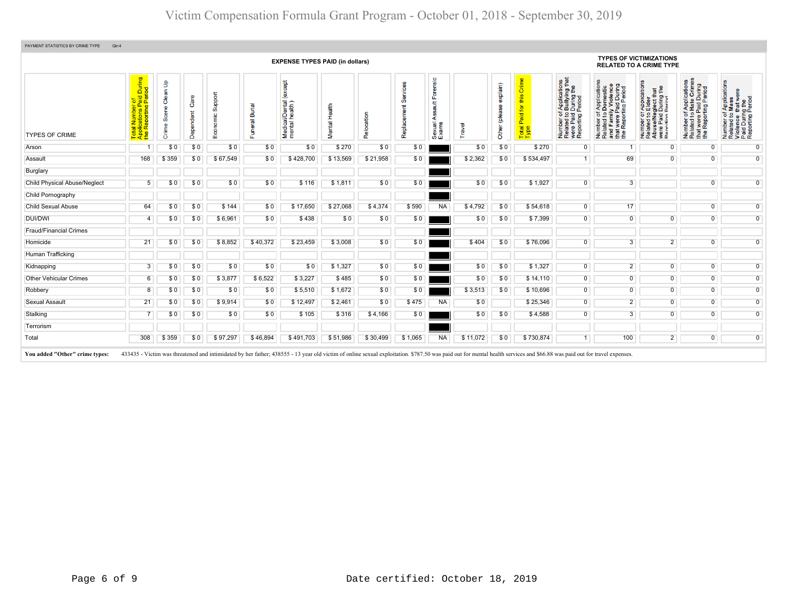|                                     |                                                                                           |                                         |                   |                  |                                 | <b>EXPENSE TYPES PAID (in dollars)</b>        |                  |            |                         |                                             |          |                              |                                            |                                                                                                                                               |                                                                                                                                                                         | <b>TYPES OF VICTIMIZATIONS</b><br><b>RELATED TO A CRIME TYPE</b>                                                                                               |                                                                                                   |                                                                                                        |
|-------------------------------------|-------------------------------------------------------------------------------------------|-----------------------------------------|-------------------|------------------|---------------------------------|-----------------------------------------------|------------------|------------|-------------------------|---------------------------------------------|----------|------------------------------|--------------------------------------------|-----------------------------------------------------------------------------------------------------------------------------------------------|-------------------------------------------------------------------------------------------------------------------------------------------------------------------------|----------------------------------------------------------------------------------------------------------------------------------------------------------------|---------------------------------------------------------------------------------------------------|--------------------------------------------------------------------------------------------------------|
| <b>TYPES OF CRIME</b>               | During<br>iod<br>aid<br>Peri<br>an Tampo<br>Jilcations Pa<br>Reporting F<br>$\frac{1}{2}$ | $\pmb{\mathfrak{s}}$<br>듦<br>ō<br>Crime | Care<br>Dependent | ipport<br>8<br>ш | <b>Burial</b><br>$\overline{a}$ | (except<br>Medical/Dental (<br>mental health) | Health<br>Mental | Relocation | Services<br>Replacement | orensic<br>$\frac{4}{3}$<br>Sexual<br>Exams | Travel   | explain)<br>(please<br>Other | Crime<br>this<br>Paid for<br>Total<br>Type | f Applications<br>b Bullying that<br>Period<br>Period<br>$\overline{5}$ $\overline{9}$<br>Number of<br>Related to<br>were Paid<br>Reporting F | of Applications<br>o Domestic<br>illy Violence<br>i Paid During<br>rting Period<br>$\frac{1}{6}$<br>Number of<br>Related to<br>and Family<br>that were F<br>the Reporti | ' Application<br>Elder<br>that<br>g the<br>glect th<br>During<br>Period<br>52<br>e/Neg<br>Paid<br>rtim<br>Number<br>Related<br>Abuse/N<br>were Pai<br>Reportin | Number of Applications<br>Related to Hate Crimes<br>that were Paid During<br>the Reporting Period | Number of Applications<br>Related to Mass<br>Violence that were<br>Paid During the<br>Reporting Period |
| Arson                               |                                                                                           | \$0                                     | \$0               | \$0              | \$0                             | \$0                                           | \$270            | \$0        | \$0                     |                                             | \$0      | \$0                          | \$270                                      | $\overline{0}$                                                                                                                                | -1                                                                                                                                                                      | $\mathbf 0$                                                                                                                                                    | $\overline{0}$                                                                                    | $\overline{0}$                                                                                         |
| Assault                             | 168                                                                                       | \$359                                   | \$0               | \$67,549         | \$0                             | \$428,700                                     | \$13,569         | \$21,958   | \$0                     |                                             | \$2,362  | \$0                          | \$534,497                                  | 1                                                                                                                                             | 69                                                                                                                                                                      | $\overline{0}$                                                                                                                                                 | $\overline{0}$                                                                                    | $\overline{0}$                                                                                         |
| Burglary                            |                                                                                           |                                         |                   |                  |                                 |                                               |                  |            |                         |                                             |          |                              |                                            |                                                                                                                                               |                                                                                                                                                                         |                                                                                                                                                                |                                                                                                   |                                                                                                        |
| <b>Child Physical Abuse/Neglect</b> | 5                                                                                         | \$0                                     | \$0               | \$0              | \$0                             | \$116                                         | \$1,811          | \$0        | \$0                     |                                             | \$0      | \$0                          | \$1,927                                    | $\overline{0}$                                                                                                                                | 3                                                                                                                                                                       |                                                                                                                                                                | $\overline{0}$                                                                                    | $\overline{0}$                                                                                         |
| Child Pornography                   |                                                                                           |                                         |                   |                  |                                 |                                               |                  |            |                         |                                             |          |                              |                                            |                                                                                                                                               |                                                                                                                                                                         |                                                                                                                                                                |                                                                                                   |                                                                                                        |
| <b>Child Sexual Abuse</b>           | 64                                                                                        | \$0                                     | \$0               | \$144            | \$0                             | \$17,650                                      | \$27,068         | \$4,374    | \$590                   | <b>NA</b>                                   | \$4,792  | \$0                          | \$54,618                                   | $\overline{0}$                                                                                                                                | 17                                                                                                                                                                      |                                                                                                                                                                | $\overline{0}$                                                                                    | $\overline{0}$                                                                                         |
| <b>DUI/DWI</b>                      | $\overline{4}$                                                                            | \$0                                     | \$0               | \$6,961          | \$0                             | \$438                                         | \$0              | \$0        | \$0                     |                                             | \$0      | \$0                          | \$7,399                                    | $\overline{0}$                                                                                                                                | $\mathbf{0}$                                                                                                                                                            | $\Omega$                                                                                                                                                       | $\overline{0}$                                                                                    | $\overline{0}$                                                                                         |
| <b>Fraud/Financial Crimes</b>       |                                                                                           |                                         |                   |                  |                                 |                                               |                  |            |                         |                                             |          |                              |                                            |                                                                                                                                               |                                                                                                                                                                         |                                                                                                                                                                |                                                                                                   |                                                                                                        |
| Homicide                            | 21                                                                                        | \$0                                     | \$0               | \$8,852          | \$40,372                        | \$23,459                                      | \$3,008          | \$0        | \$0                     |                                             | \$404    | \$0                          | \$76,096                                   | $\overline{0}$                                                                                                                                | 3                                                                                                                                                                       | $\overline{2}$                                                                                                                                                 | $\overline{0}$                                                                                    | $\overline{0}$                                                                                         |
| Human Trafficking                   |                                                                                           |                                         |                   |                  |                                 |                                               |                  |            |                         |                                             |          |                              |                                            |                                                                                                                                               |                                                                                                                                                                         |                                                                                                                                                                |                                                                                                   |                                                                                                        |
| Kidnapping                          | 3                                                                                         | \$0                                     | \$0               | \$0              | \$0                             | \$0                                           | \$1,327          | \$0        | \$0                     |                                             | \$0      | \$0                          | \$1,327                                    | $\overline{0}$                                                                                                                                | $\overline{2}$                                                                                                                                                          | $\overline{0}$                                                                                                                                                 | $\overline{0}$                                                                                    | $\overline{0}$                                                                                         |
| <b>Other Vehicular Crimes</b>       | 6                                                                                         | \$0                                     | \$0               | \$3,877          | \$6,522                         | \$3,227                                       | \$485            | \$0        | \$0                     |                                             | \$0      | \$0                          | \$14,110                                   | $\overline{0}$                                                                                                                                | $\overline{0}$                                                                                                                                                          | $\overline{0}$                                                                                                                                                 | $\overline{0}$                                                                                    | $\overline{0}$                                                                                         |
| Robbery                             | 8                                                                                         | \$0                                     | \$0               | \$0              | \$0                             | \$5,510                                       | \$1,672          | \$0        | \$0                     |                                             | \$3,513  | \$0                          | \$10,696                                   | $\overline{0}$                                                                                                                                | $\overline{0}$                                                                                                                                                          | $\overline{0}$                                                                                                                                                 | $\overline{0}$                                                                                    | $\overline{0}$                                                                                         |
| Sexual Assault                      | 21                                                                                        | \$0                                     | \$0               | \$9,914          | \$0                             | \$12,497                                      | \$2,461          | \$0        | \$475                   | <b>NA</b>                                   | \$0      |                              | \$25,346                                   | $\overline{0}$                                                                                                                                | $\overline{2}$                                                                                                                                                          | $\overline{0}$                                                                                                                                                 | $\overline{0}$                                                                                    | $\overline{0}$                                                                                         |
| Stalking                            |                                                                                           | \$0                                     | \$0               | \$0              | \$0                             | \$105                                         | \$316            | \$4,166    | \$0                     |                                             | \$0      | \$0                          | \$4,588                                    | $\overline{0}$                                                                                                                                | 3                                                                                                                                                                       | $\overline{0}$                                                                                                                                                 | $\overline{0}$                                                                                    | $\overline{0}$                                                                                         |
| Terrorism                           |                                                                                           |                                         |                   |                  |                                 |                                               |                  |            |                         |                                             |          |                              |                                            |                                                                                                                                               |                                                                                                                                                                         |                                                                                                                                                                |                                                                                                   |                                                                                                        |
| Total                               | 308                                                                                       | \$359                                   | \$0               | \$97,297         | \$46,894                        | \$491,703                                     | \$51,986         | \$30,499   | \$1,065                 | <b>NA</b>                                   | \$11,072 | \$0                          | \$730,874                                  | 1                                                                                                                                             | 100                                                                                                                                                                     | $\overline{2}$                                                                                                                                                 | $\overline{0}$                                                                                    | $\overline{0}$                                                                                         |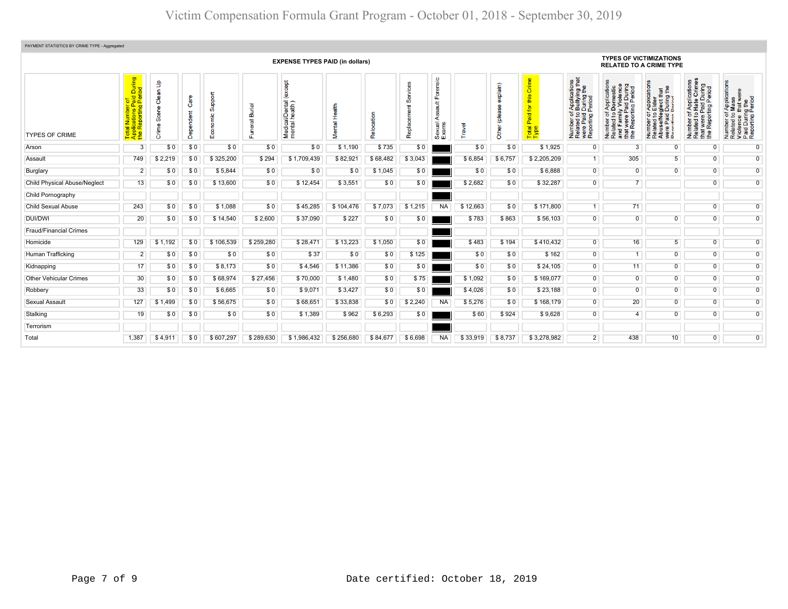| PAYMENT STATISTICS BY CRIME TYPE - Aggregated |                                                                         |                                 |                |                   |                     |                                            |               |                |                         |                                                  |          |                           |                                            |                                                                                                                       |                                                                                                                                                |                                                                                                                                                        |                                                                                                                                         |                                                                                                       |  |
|-----------------------------------------------|-------------------------------------------------------------------------|---------------------------------|----------------|-------------------|---------------------|--------------------------------------------|---------------|----------------|-------------------------|--------------------------------------------------|----------|---------------------------|--------------------------------------------|-----------------------------------------------------------------------------------------------------------------------|------------------------------------------------------------------------------------------------------------------------------------------------|--------------------------------------------------------------------------------------------------------------------------------------------------------|-----------------------------------------------------------------------------------------------------------------------------------------|-------------------------------------------------------------------------------------------------------|--|
|                                               | <b>EXPENSE TYPES PAID (in dollars)</b>                                  |                                 |                |                   |                     |                                            |               |                |                         |                                                  |          |                           |                                            | <b>TYPES OF VICTIMIZATIONS</b><br><b>RELATED TO A CRIME TYPE</b>                                                      |                                                                                                                                                |                                                                                                                                                        |                                                                                                                                         |                                                                                                       |  |
| <b>TYPES OF CRIME</b>                         | During<br>iod<br>$\overline{2}$<br>ㅎ<br>ಹ ը<br>Total<br>Applic<br>the R | dp<br>W<br>မီ<br>Scene<br>Crime | ලී<br><b>B</b> | Support<br>$E$ co | Burial<br>eral<br>Œ | except<br>Medical/Dental<br>mental health) | Mental Health | cation<br>Relo | Services<br>Replacement | Forensic<br>ã<br>g<br>G<br>∢<br>Sexual.<br>Exams | Travel   | explain)<br>Other (please | Crime<br>this<br>Paid for<br>Total<br>Type | f Applications<br>b Bullying that<br>I During the<br>Period<br>Number of,<br>Related to I<br>were Paid<br>Reporting F | mber of Applications<br>ated to Domestic<br>I Family Violence<br>t were Paid During<br>Reporting Period<br>Number<br>Related<br>Rep<br>in<br># | TApplications<br>b Elder<br>glect that<br>During the<br>Period<br>Number of <i>I</i><br>Related to <b>E</b><br>Abuse/Neg<br>Were Paid L<br>Reporting P | mber of Applications<br>Iated to Hate Crimes<br>at were Paid During<br>9 Reporting Period<br>Number<br>Related<br>that were<br>the Repo | Number of Application<br>Related to Mass<br>Violence that were<br>Paid During the<br>Reporting Period |  |
| Arson                                         | 3                                                                       | \$0                             | \$0            | \$0               | \$0                 | \$0                                        | \$1,190       | \$735          | \$0                     |                                                  | \$0      | \$0                       | \$1,925                                    | $\mathbf 0$                                                                                                           | 3                                                                                                                                              | $\overline{0}$                                                                                                                                         | $\overline{0}$                                                                                                                          | $\overline{0}$                                                                                        |  |
| Assault                                       | 749                                                                     | \$2,219                         | \$0            | \$325,200         | \$294               | \$1,709,439                                | \$82,921      | \$68,482       | \$3,043                 |                                                  | \$6,854  | \$6,757                   | \$2,205,209                                | $\mathbf{1}$                                                                                                          | 305                                                                                                                                            | 5 <sup>5</sup>                                                                                                                                         | $\overline{0}$                                                                                                                          | $\overline{0}$                                                                                        |  |
| Burglary                                      | $\overline{2}$                                                          | \$0                             | \$0            | \$5,844           | \$0                 | \$0                                        | \$0           | \$1,045        | \$0                     |                                                  | \$0      | \$0                       | \$6,888                                    | $\overline{0}$                                                                                                        | $\Omega$                                                                                                                                       | $\mathbf{0}$                                                                                                                                           | $\overline{0}$                                                                                                                          | $\overline{0}$                                                                                        |  |
| <b>Child Physical Abuse/Neglect</b>           | 13                                                                      | \$0                             | \$0            | \$13,600          | \$0                 | \$12,454                                   | \$3,551       | \$0            | \$0                     |                                                  | \$2,682  | \$0                       | \$32,287                                   | $\overline{0}$                                                                                                        | 7 <sup>1</sup>                                                                                                                                 |                                                                                                                                                        | $\overline{0}$                                                                                                                          | $\overline{0}$                                                                                        |  |
| Child Pornography                             |                                                                         |                                 |                |                   |                     |                                            |               |                |                         |                                                  |          |                           |                                            |                                                                                                                       |                                                                                                                                                |                                                                                                                                                        |                                                                                                                                         |                                                                                                       |  |
| <b>Child Sexual Abuse</b>                     | 243                                                                     | \$0                             | \$0            | \$1,088           | \$0                 | \$45,285                                   | \$104.476     | \$7,073        | \$1.215                 | <b>NA</b>                                        | \$12,663 | \$0                       | \$171,800                                  | 1                                                                                                                     | 71                                                                                                                                             |                                                                                                                                                        | $\overline{0}$                                                                                                                          | $\overline{0}$                                                                                        |  |
| DUI/DWI                                       | 20                                                                      | \$0                             | \$0            | \$14,540          | \$2,600             | \$37,090                                   | \$227         | \$0            | \$0                     |                                                  | \$783    | \$863                     | \$56,103                                   | $\mathbf{0}$                                                                                                          | $\overline{0}$                                                                                                                                 | $\mathbf{0}$                                                                                                                                           | $\overline{0}$                                                                                                                          | $\overline{0}$                                                                                        |  |
| <b>Fraud/Financial Crimes</b>                 |                                                                         |                                 |                |                   |                     |                                            |               |                |                         |                                                  |          |                           |                                            |                                                                                                                       |                                                                                                                                                |                                                                                                                                                        |                                                                                                                                         |                                                                                                       |  |
| Homicide                                      | 129                                                                     | \$1,192                         | \$0            | \$106,539         | \$259,280           | \$28,471                                   | \$13,223      | \$1,050        | \$0                     |                                                  | \$483    | \$194                     | \$410,432                                  | $\overline{0}$                                                                                                        | 16                                                                                                                                             | 5 <sup>5</sup>                                                                                                                                         | $\overline{0}$                                                                                                                          | $\overline{0}$                                                                                        |  |
| Human Trafficking                             | 2                                                                       | \$0                             | \$0            | \$0               | \$0                 | \$37                                       | \$0           | \$0            | \$125                   |                                                  | \$0      | \$0                       | \$162                                      | $\overline{0}$                                                                                                        |                                                                                                                                                | $\overline{0}$                                                                                                                                         | $\overline{0}$                                                                                                                          | $\overline{0}$                                                                                        |  |
| Kidnapping                                    | 17                                                                      | \$0                             | \$0            | \$8,173           | \$0                 | \$4,546                                    | \$11,386      | \$0            | \$0                     |                                                  | \$0      | \$0                       | \$24,105                                   | 0                                                                                                                     | 11                                                                                                                                             | $\mathbf{0}$                                                                                                                                           | $\overline{0}$                                                                                                                          | $\overline{0}$                                                                                        |  |
| <b>Other Vehicular Crimes</b>                 | 30                                                                      | \$0                             | \$0            | \$68,974          | \$27,456            | \$70,000                                   | \$1,480       | \$0            | \$75                    |                                                  | \$1,092  | \$0                       | \$169,077                                  | $\overline{0}$                                                                                                        | $\overline{0}$                                                                                                                                 | $\mathbf{0}$                                                                                                                                           | $\overline{0}$                                                                                                                          | $\overline{0}$                                                                                        |  |
| Robbery                                       | 33                                                                      | \$0                             | \$0            | \$6,665           | \$0                 | \$9,071                                    | \$3,427       | \$0            | \$0                     |                                                  | \$4,026  | \$0                       | \$23,188                                   | $\overline{0}$                                                                                                        | $\overline{0}$                                                                                                                                 | $\mathbf{0}$                                                                                                                                           | $\overline{0}$                                                                                                                          | $\overline{0}$                                                                                        |  |
| Sexual Assault                                | 127                                                                     | \$1,499                         | \$0            | \$56,675          | \$0                 | \$68,651                                   | \$33,838      | \$0            | \$2,240                 | <b>NA</b>                                        | \$5,276  | \$0                       | \$168,179                                  | $\overline{0}$                                                                                                        | 20                                                                                                                                             | $\mathbf{0}$                                                                                                                                           | $\overline{0}$                                                                                                                          | $\overline{0}$                                                                                        |  |
| Stalking                                      | 19                                                                      | \$0                             | \$0            | \$0               | \$0                 | \$1,389                                    | \$962         | \$6,293        | \$0                     |                                                  | \$60     | \$924                     | \$9,628                                    | $\mathbf{0}$                                                                                                          | $\overline{4}$                                                                                                                                 | $\mathbf{0}$                                                                                                                                           | $\overline{0}$                                                                                                                          | $\overline{0}$                                                                                        |  |
| Terrorism                                     |                                                                         |                                 |                |                   |                     |                                            |               |                |                         |                                                  |          |                           |                                            |                                                                                                                       |                                                                                                                                                |                                                                                                                                                        |                                                                                                                                         |                                                                                                       |  |
| Total                                         | 1,387                                                                   | \$4.911                         | \$0            | \$607.297         | \$289.630           | \$1.986.432                                | \$256,680     | \$84.677       | \$6.698                 | <b>NA</b>                                        | \$33.919 | \$8.737                   | \$3,278,982                                | $\overline{2}$                                                                                                        | 438                                                                                                                                            | 10                                                                                                                                                     | $\overline{0}$                                                                                                                          | $\overline{0}$                                                                                        |  |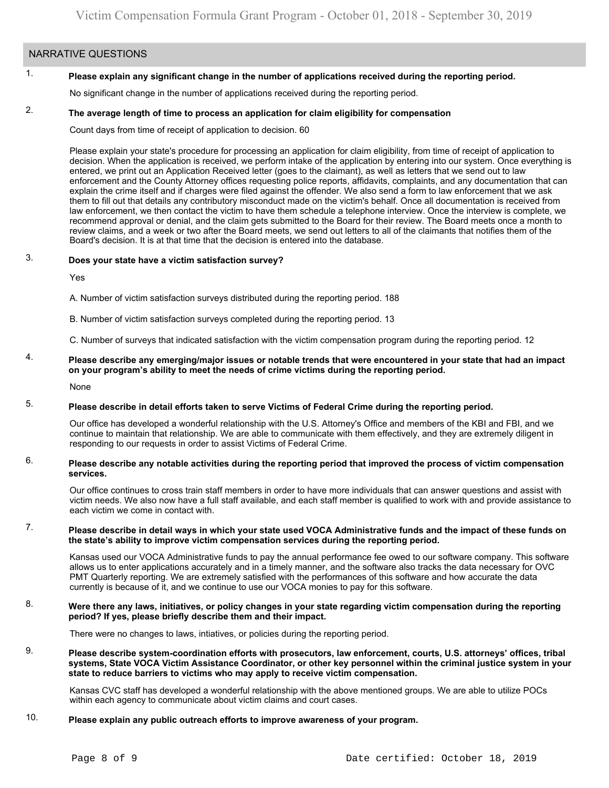## NARRATIVE QUESTIONS

#### 1. **Please explain any significant change in the number of applications received during the reporting period.**

No significant change in the number of applications received during the reporting period.

#### 2. **The average length of time to process an application for claim eligibility for compensation**

Count days from time of receipt of application to decision. 60

Please explain your state's procedure for processing an application for claim eligibility, from time of receipt of application to decision. When the application is received, we perform intake of the application by entering into our system. Once everything is entered, we print out an Application Received letter (goes to the claimant), as well as letters that we send out to law enforcement and the County Attorney offices requesting police reports, affidavits, complaints, and any documentation that can explain the crime itself and if charges were filed against the offender. We also send a form to law enforcement that we ask them to fill out that details any contributory misconduct made on the victim's behalf. Once all documentation is received from law enforcement, we then contact the victim to have them schedule a telephone interview. Once the interview is complete, we recommend approval or denial, and the claim gets submitted to the Board for their review. The Board meets once a month to review claims, and a week or two after the Board meets, we send out letters to all of the claimants that notifies them of the Board's decision. It is at that time that the decision is entered into the database.

#### 3. **Does your state have a victim satisfaction survey?**

Yes

A. Number of victim satisfaction surveys distributed during the reporting period. 188

B. Number of victim satisfaction surveys completed during the reporting period. 13

C. Number of surveys that indicated satisfaction with the victim compensation program during the reporting period. 12

4. **Please describe any emerging/major issues or notable trends that were encountered in your state that had an impact on your program's ability to meet the needs of crime victims during the reporting period.**

None

#### 5. **Please describe in detail efforts taken to serve Victims of Federal Crime during the reporting period.**

Our office has developed a wonderful relationship with the U.S. Attorney's Office and members of the KBI and FBI, and we continue to maintain that relationship. We are able to communicate with them effectively, and they are extremely diligent in responding to our requests in order to assist Victims of Federal Crime.

#### 6. **Please describe any notable activities during the reporting period that improved the process of victim compensation services.**

Our office continues to cross train staff members in order to have more individuals that can answer questions and assist with victim needs. We also now have a full staff available, and each staff member is qualified to work with and provide assistance to each victim we come in contact with.

#### 7. **Please describe in detail ways in which your state used VOCA Administrative funds and the impact of these funds on the state's ability to improve victim compensation services during the reporting period.**

Kansas used our VOCA Administrative funds to pay the annual performance fee owed to our software company. This software allows us to enter applications accurately and in a timely manner, and the software also tracks the data necessary for OVC PMT Quarterly reporting. We are extremely satisfied with the performances of this software and how accurate the data currently is because of it, and we continue to use our VOCA monies to pay for this software.

#### 8. **Were there any laws, initiatives, or policy changes in your state regarding victim compensation during the reporting period? If yes, please briefly describe them and their impact.**

There were no changes to laws, intiatives, or policies during the reporting period.

9. **Please describe system-coordination efforts with prosecutors, law enforcement, courts, U.S. attorneys' offices, tribal systems, State VOCA Victim Assistance Coordinator, or other key personnel within the criminal justice system in your state to reduce barriers to victims who may apply to receive victim compensation.**

Kansas CVC staff has developed a wonderful relationship with the above mentioned groups. We are able to utilize POCs within each agency to communicate about victim claims and court cases.

#### 10. **Please explain any public outreach efforts to improve awareness of your program.**